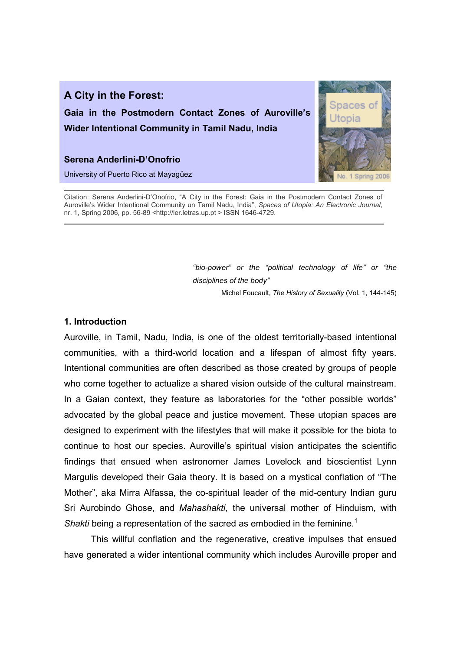# A City in the Forest:

Gaia in the Postmodern Contact Zones of Auroville's Wider Intentional Community in Tamil Nadu, India

# Serena Anderlini-D'Onofrio

University of Puerto Rico at Mayagüez



Citation: Serena Anderlini-D'Onofrio, "A City in the Forest: Gaia in the Postmodern Contact Zones of Auroville's Wider Intentional Community un Tamil Nadu, India", Spaces of Utopia: An Electronic Journal, nr. 1, Spring 2006, pp. 56-89 <http://ler.letras.up.pt > ISSN 1646-4729.

> "bio-power" or the "political technology of life" or "the disciplines of the body"

> > Michel Foucault, The History of Sexuality (Vol. 1, 144-145)

# 1. Introduction

Auroville, in Tamil, Nadu, India, is one of the oldest territorially-based intentional communities, with a third-world location and a lifespan of almost fifty years. Intentional communities are often described as those created by groups of people who come together to actualize a shared vision outside of the cultural mainstream. In a Gaian context, they feature as laboratories for the "other possible worlds" advocated by the global peace and justice movement. These utopian spaces are designed to experiment with the lifestyles that will make it possible for the biota to continue to host our species. Auroville's spiritual vision anticipates the scientific findings that ensued when astronomer James Lovelock and bioscientist Lynn Margulis developed their Gaia theory. It is based on a mystical conflation of "The Mother", aka Mirra Alfassa, the co-spiritual leader of the mid-century Indian guru Sri Aurobindo Ghose, and Mahashakti, the universal mother of Hinduism, with Shakti being a representation of the sacred as embodied in the feminine.<sup>1</sup>

This willful conflation and the regenerative, creative impulses that ensued have generated a wider intentional community which includes Auroville proper and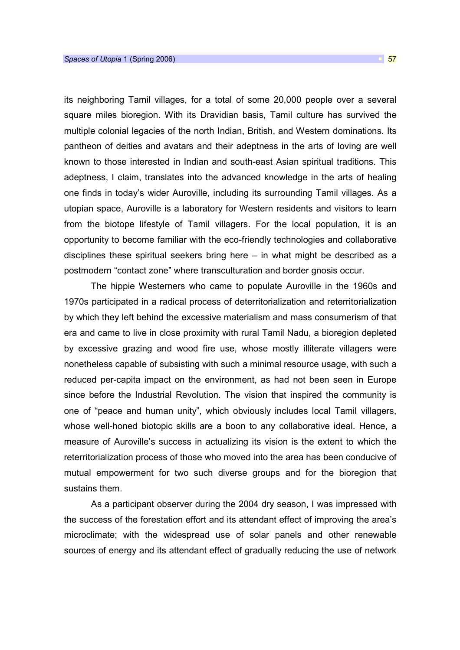its neighboring Tamil villages, for a total of some 20,000 people over a several square miles bioregion. With its Dravidian basis, Tamil culture has survived the multiple colonial legacies of the north Indian, British, and Western dominations. Its pantheon of deities and avatars and their adeptness in the arts of loving are well known to those interested in Indian and south-east Asian spiritual traditions. This adeptness, I claim, translates into the advanced knowledge in the arts of healing one finds in today's wider Auroville, including its surrounding Tamil villages. As a utopian space, Auroville is a laboratory for Western residents and visitors to learn from the biotope lifestyle of Tamil villagers. For the local population, it is an opportunity to become familiar with the eco-friendly technologies and collaborative disciplines these spiritual seekers bring here – in what might be described as a postmodern "contact zone" where transculturation and border gnosis occur.

The hippie Westerners who came to populate Auroville in the 1960s and 1970s participated in a radical process of deterritorialization and reterritorialization by which they left behind the excessive materialism and mass consumerism of that era and came to live in close proximity with rural Tamil Nadu, a bioregion depleted by excessive grazing and wood fire use, whose mostly illiterate villagers were nonetheless capable of subsisting with such a minimal resource usage, with such a reduced per-capita impact on the environment, as had not been seen in Europe since before the Industrial Revolution. The vision that inspired the community is one of "peace and human unity", which obviously includes local Tamil villagers, whose well-honed biotopic skills are a boon to any collaborative ideal. Hence, a measure of Auroville's success in actualizing its vision is the extent to which the reterritorialization process of those who moved into the area has been conducive of mutual empowerment for two such diverse groups and for the bioregion that sustains them.

As a participant observer during the 2004 dry season, I was impressed with the success of the forestation effort and its attendant effect of improving the area's microclimate; with the widespread use of solar panels and other renewable sources of energy and its attendant effect of gradually reducing the use of network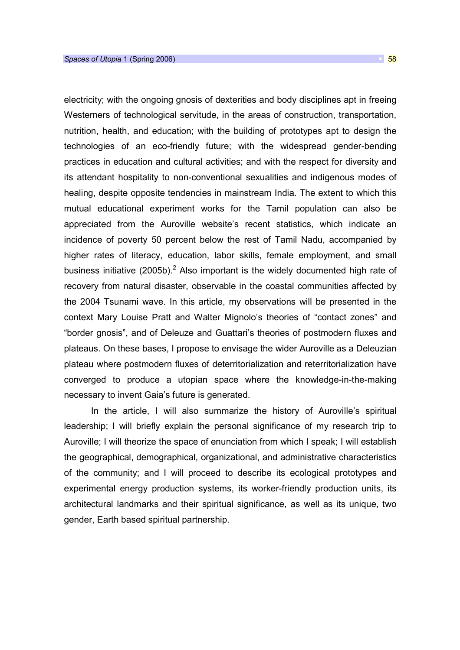electricity; with the ongoing gnosis of dexterities and body disciplines apt in freeing Westerners of technological servitude, in the areas of construction, transportation, nutrition, health, and education; with the building of prototypes apt to design the technologies of an eco-friendly future; with the widespread gender-bending practices in education and cultural activities; and with the respect for diversity and its attendant hospitality to non-conventional sexualities and indigenous modes of healing, despite opposite tendencies in mainstream India. The extent to which this mutual educational experiment works for the Tamil population can also be appreciated from the Auroville website's recent statistics, which indicate an incidence of poverty 50 percent below the rest of Tamil Nadu, accompanied by higher rates of literacy, education, labor skills, female employment, and small business initiative (2005b).<sup>2</sup> Also important is the widely documented high rate of recovery from natural disaster, observable in the coastal communities affected by the 2004 Tsunami wave. In this article, my observations will be presented in the context Mary Louise Pratt and Walter Mignolo's theories of "contact zones" and "border gnosis", and of Deleuze and Guattari's theories of postmodern fluxes and plateaus. On these bases, I propose to envisage the wider Auroville as a Deleuzian plateau where postmodern fluxes of deterritorialization and reterritorialization have converged to produce a utopian space where the knowledge-in-the-making necessary to invent Gaia's future is generated.

In the article, I will also summarize the history of Auroville's spiritual leadership; I will briefly explain the personal significance of my research trip to Auroville; I will theorize the space of enunciation from which I speak; I will establish the geographical, demographical, organizational, and administrative characteristics of the community; and I will proceed to describe its ecological prototypes and experimental energy production systems, its worker-friendly production units, its architectural landmarks and their spiritual significance, as well as its unique, two gender, Earth based spiritual partnership.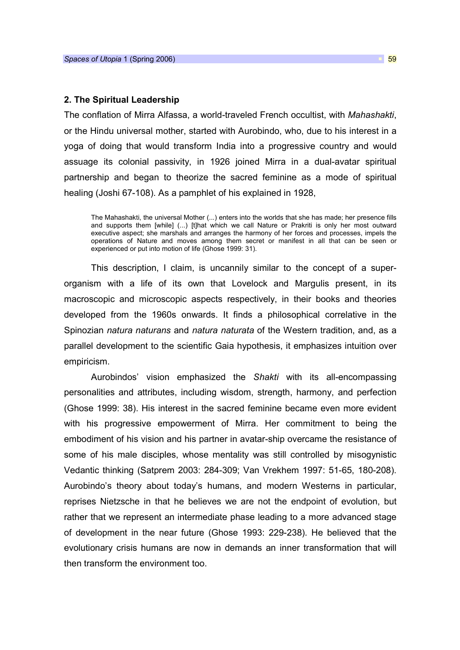#### 2. The Spiritual Leadership

The conflation of Mirra Alfassa, a world-traveled French occultist, with Mahashakti, or the Hindu universal mother, started with Aurobindo, who, due to his interest in a yoga of doing that would transform India into a progressive country and would assuage its colonial passivity, in 1926 joined Mirra in a dual-avatar spiritual partnership and began to theorize the sacred feminine as a mode of spiritual healing (Joshi 67-108). As a pamphlet of his explained in 1928,

The Mahashakti, the universal Mother (...) enters into the worlds that she has made; her presence fills and supports them [while] (...) [t]hat which we call Nature or Prakriti is only her most outward executive aspect; she marshals and arranges the harmony of her forces and processes, impels the operations of Nature and moves among them secret or manifest in all that can be seen or experienced or put into motion of life (Ghose 1999: 31).

This description, I claim, is uncannily similar to the concept of a superorganism with a life of its own that Lovelock and Margulis present, in its macroscopic and microscopic aspects respectively, in their books and theories developed from the 1960s onwards. It finds a philosophical correlative in the Spinozian natura naturans and natura naturata of the Western tradition, and, as a parallel development to the scientific Gaia hypothesis, it emphasizes intuition over empiricism.

Aurobindos' vision emphasized the Shakti with its all-encompassing personalities and attributes, including wisdom, strength, harmony, and perfection (Ghose 1999: 38). His interest in the sacred feminine became even more evident with his progressive empowerment of Mirra. Her commitment to being the embodiment of his vision and his partner in avatar-ship overcame the resistance of some of his male disciples, whose mentality was still controlled by misogynistic Vedantic thinking (Satprem 2003: 284-309; Van Vrekhem 1997: 51-65, 180-208). Aurobindo's theory about today's humans, and modern Westerns in particular, reprises Nietzsche in that he believes we are not the endpoint of evolution, but rather that we represent an intermediate phase leading to a more advanced stage of development in the near future (Ghose 1993: 229-238). He believed that the evolutionary crisis humans are now in demands an inner transformation that will then transform the environment too.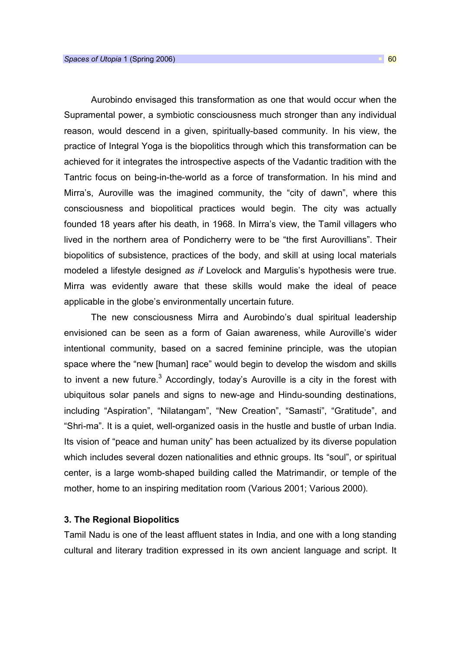Aurobindo envisaged this transformation as one that would occur when the Supramental power, a symbiotic consciousness much stronger than any individual reason, would descend in a given, spiritually-based community. In his view, the practice of Integral Yoga is the biopolitics through which this transformation can be achieved for it integrates the introspective aspects of the Vadantic tradition with the Tantric focus on being-in-the-world as a force of transformation. In his mind and Mirra's, Auroville was the imagined community, the "city of dawn", where this consciousness and biopolitical practices would begin. The city was actually founded 18 years after his death, in 1968. In Mirra's view, the Tamil villagers who lived in the northern area of Pondicherry were to be "the first Aurovillians". Their biopolitics of subsistence, practices of the body, and skill at using local materials modeled a lifestyle designed as if Lovelock and Margulis's hypothesis were true. Mirra was evidently aware that these skills would make the ideal of peace applicable in the globe's environmentally uncertain future.

The new consciousness Mirra and Aurobindo's dual spiritual leadership envisioned can be seen as a form of Gaian awareness, while Auroville's wider intentional community, based on a sacred feminine principle, was the utopian space where the "new [human] race" would begin to develop the wisdom and skills to invent a new future. $3$  Accordingly, today's Auroville is a city in the forest with ubiquitous solar panels and signs to new-age and Hindu-sounding destinations, including "Aspiration", "Nilatangam", "New Creation", "Samasti", "Gratitude", and "Shri-ma". It is a quiet, well-organized oasis in the hustle and bustle of urban India. Its vision of "peace and human unity" has been actualized by its diverse population which includes several dozen nationalities and ethnic groups. Its "soul", or spiritual center, is a large womb-shaped building called the Matrimandir, or temple of the mother, home to an inspiring meditation room (Various 2001; Various 2000).

### 3. The Regional Biopolitics

Tamil Nadu is one of the least affluent states in India, and one with a long standing cultural and literary tradition expressed in its own ancient language and script. It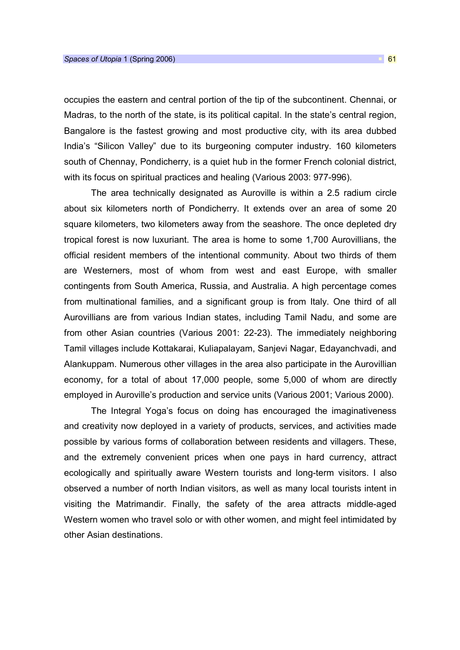occupies the eastern and central portion of the tip of the subcontinent. Chennai, or Madras, to the north of the state, is its political capital. In the state's central region, Bangalore is the fastest growing and most productive city, with its area dubbed India's "Silicon Valley" due to its burgeoning computer industry. 160 kilometers south of Chennay, Pondicherry, is a quiet hub in the former French colonial district, with its focus on spiritual practices and healing (Various 2003: 977-996).

The area technically designated as Auroville is within a 2.5 radium circle about six kilometers north of Pondicherry. It extends over an area of some 20 square kilometers, two kilometers away from the seashore. The once depleted dry tropical forest is now luxuriant. The area is home to some 1,700 Aurovillians, the official resident members of the intentional community. About two thirds of them are Westerners, most of whom from west and east Europe, with smaller contingents from South America, Russia, and Australia. A high percentage comes from multinational families, and a significant group is from Italy. One third of all Aurovillians are from various Indian states, including Tamil Nadu, and some are from other Asian countries (Various 2001: 22-23). The immediately neighboring Tamil villages include Kottakarai, Kuliapalayam, Sanjevi Nagar, Edayanchvadi, and Alankuppam. Numerous other villages in the area also participate in the Aurovillian economy, for a total of about 17,000 people, some 5,000 of whom are directly employed in Auroville's production and service units (Various 2001; Various 2000).

The Integral Yoga's focus on doing has encouraged the imaginativeness and creativity now deployed in a variety of products, services, and activities made possible by various forms of collaboration between residents and villagers. These, and the extremely convenient prices when one pays in hard currency, attract ecologically and spiritually aware Western tourists and long-term visitors. I also observed a number of north Indian visitors, as well as many local tourists intent in visiting the Matrimandir. Finally, the safety of the area attracts middle-aged Western women who travel solo or with other women, and might feel intimidated by other Asian destinations.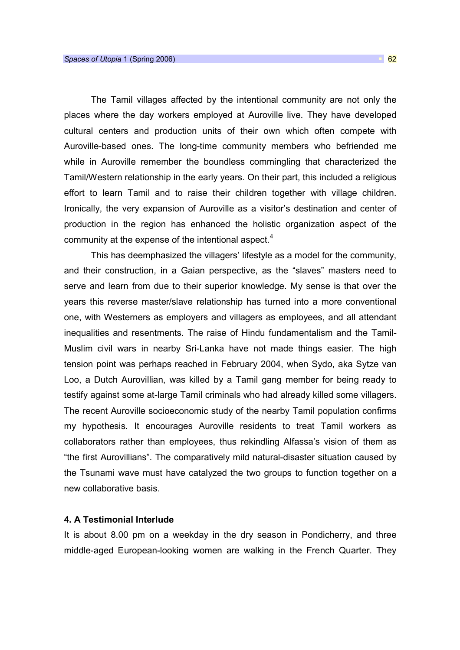The Tamil villages affected by the intentional community are not only the places where the day workers employed at Auroville live. They have developed cultural centers and production units of their own which often compete with Auroville-based ones. The long-time community members who befriended me while in Auroville remember the boundless commingling that characterized the Tamil/Western relationship in the early years. On their part, this included a religious effort to learn Tamil and to raise their children together with village children. Ironically, the very expansion of Auroville as a visitor's destination and center of production in the region has enhanced the holistic organization aspect of the community at the expense of the intentional aspect.<sup>4</sup>

This has deemphasized the villagers' lifestyle as a model for the community, and their construction, in a Gaian perspective, as the "slaves" masters need to serve and learn from due to their superior knowledge. My sense is that over the years this reverse master/slave relationship has turned into a more conventional one, with Westerners as employers and villagers as employees, and all attendant inequalities and resentments. The raise of Hindu fundamentalism and the Tamil-Muslim civil wars in nearby Sri-Lanka have not made things easier. The high tension point was perhaps reached in February 2004, when Sydo, aka Sytze van Loo, a Dutch Aurovillian, was killed by a Tamil gang member for being ready to testify against some at-large Tamil criminals who had already killed some villagers. The recent Auroville socioeconomic study of the nearby Tamil population confirms my hypothesis. It encourages Auroville residents to treat Tamil workers as collaborators rather than employees, thus rekindling Alfassa's vision of them as "the first Aurovillians". The comparatively mild natural-disaster situation caused by the Tsunami wave must have catalyzed the two groups to function together on a new collaborative basis.

#### 4. A Testimonial Interlude

It is about 8.00 pm on a weekday in the dry season in Pondicherry, and three middle-aged European-looking women are walking in the French Quarter. They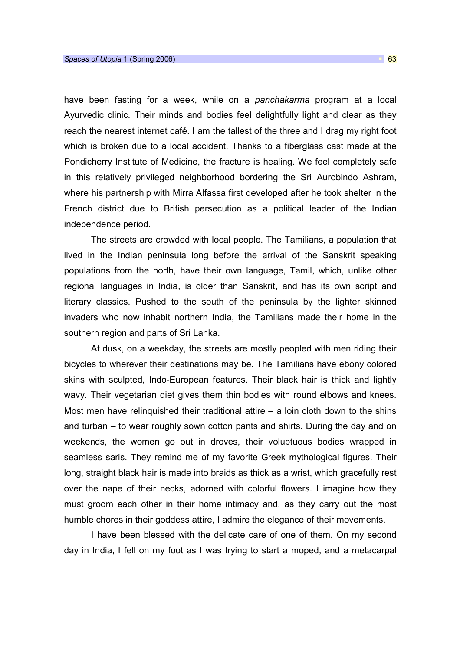have been fasting for a week, while on a panchakarma program at a local Ayurvedic clinic. Their minds and bodies feel delightfully light and clear as they reach the nearest internet café. I am the tallest of the three and I drag my right foot which is broken due to a local accident. Thanks to a fiberglass cast made at the Pondicherry Institute of Medicine, the fracture is healing. We feel completely safe in this relatively privileged neighborhood bordering the Sri Aurobindo Ashram, where his partnership with Mirra Alfassa first developed after he took shelter in the French district due to British persecution as a political leader of the Indian independence period.

The streets are crowded with local people. The Tamilians, a population that lived in the Indian peninsula long before the arrival of the Sanskrit speaking populations from the north, have their own language, Tamil, which, unlike other regional languages in India, is older than Sanskrit, and has its own script and literary classics. Pushed to the south of the peninsula by the lighter skinned invaders who now inhabit northern India, the Tamilians made their home in the southern region and parts of Sri Lanka.

At dusk, on a weekday, the streets are mostly peopled with men riding their bicycles to wherever their destinations may be. The Tamilians have ebony colored skins with sculpted, Indo-European features. Their black hair is thick and lightly wavy. Their vegetarian diet gives them thin bodies with round elbows and knees. Most men have relinguished their traditional attire – a loin cloth down to the shins and turban – to wear roughly sown cotton pants and shirts. During the day and on weekends, the women go out in droves, their voluptuous bodies wrapped in seamless saris. They remind me of my favorite Greek mythological figures. Their long, straight black hair is made into braids as thick as a wrist, which gracefully rest over the nape of their necks, adorned with colorful flowers. I imagine how they must groom each other in their home intimacy and, as they carry out the most humble chores in their goddess attire, I admire the elegance of their movements.

I have been blessed with the delicate care of one of them. On my second day in India, I fell on my foot as I was trying to start a moped, and a metacarpal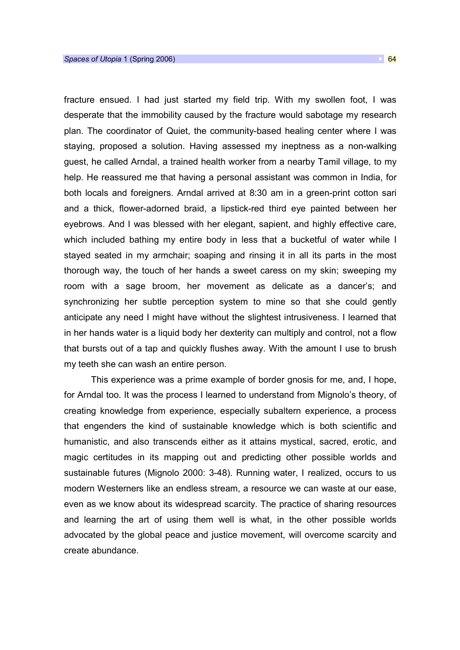fracture ensued. I had just started my field trip. With my swollen foot, I was desperate that the immobility caused by the fracture would sabotage my research plan. The coordinator of Quiet, the community-based healing center where I was staying, proposed a solution. Having assessed my ineptness as a non-walking guest, he called Arndal, a trained health worker from a nearby Tamil village, to my help. He reassured me that having a personal assistant was common in India, for both locals and foreigners. Arndal arrived at 8:30 am in a green-print cotton sari and a thick, flower-adorned braid, a lipstick-red third eye painted between her eyebrows. And I was blessed with her elegant, sapient, and highly effective care, which included bathing my entire body in less that a bucketful of water while I stayed seated in my armchair; soaping and rinsing it in all its parts in the most thorough way, the touch of her hands a sweet caress on my skin; sweeping my room with a sage broom, her movement as delicate as a dancer's; and synchronizing her subtle perception system to mine so that she could gently anticipate any need I might have without the slightest intrusiveness. I learned that in her hands water is a liquid body her dexterity can multiply and control, not a flow that bursts out of a tap and quickly flushes away. With the amount I use to brush my teeth she can wash an entire person.

This experience was a prime example of border gnosis for me, and, I hope, for Arndal too. It was the process I learned to understand from Mignolo's theory, of creating knowledge from experience, especially subaltern experience, a process that engenders the kind of sustainable knowledge which is both scientific and humanistic, and also transcends either as it attains mystical, sacred, erotic, and magic certitudes in its mapping out and predicting other possible worlds and sustainable futures (Mignolo 2000: 3-48). Running water, I realized, occurs to us modern Westerners like an endless stream, a resource we can waste at our ease, even as we know about its widespread scarcity. The practice of sharing resources and learning the art of using them well is what, in the other possible worlds advocated by the global peace and justice movement, will overcome scarcity and create abundance.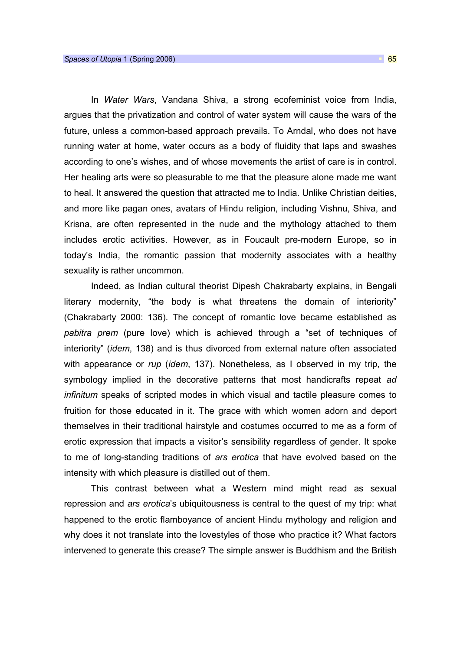In Water Wars, Vandana Shiva, a strong ecofeminist voice from India, argues that the privatization and control of water system will cause the wars of the future, unless a common-based approach prevails. To Arndal, who does not have running water at home, water occurs as a body of fluidity that laps and swashes according to one's wishes, and of whose movements the artist of care is in control. Her healing arts were so pleasurable to me that the pleasure alone made me want to heal. It answered the question that attracted me to India. Unlike Christian deities, and more like pagan ones, avatars of Hindu religion, including Vishnu, Shiva, and Krisna, are often represented in the nude and the mythology attached to them includes erotic activities. However, as in Foucault pre-modern Europe, so in today's India, the romantic passion that modernity associates with a healthy sexuality is rather uncommon.

Indeed, as Indian cultural theorist Dipesh Chakrabarty explains, in Bengali literary modernity, "the body is what threatens the domain of interiority" (Chakrabarty 2000: 136). The concept of romantic love became established as pabitra prem (pure love) which is achieved through a "set of techniques of interiority" (idem, 138) and is thus divorced from external nature often associated with appearance or *rup* (*idem*, 137). Nonetheless, as I observed in my trip, the symbology implied in the decorative patterns that most handicrafts repeat ad infinitum speaks of scripted modes in which visual and tactile pleasure comes to fruition for those educated in it. The grace with which women adorn and deport themselves in their traditional hairstyle and costumes occurred to me as a form of erotic expression that impacts a visitor's sensibility regardless of gender. It spoke to me of long-standing traditions of ars erotica that have evolved based on the intensity with which pleasure is distilled out of them.

This contrast between what a Western mind might read as sexual repression and ars erotica's ubiquitousness is central to the quest of my trip: what happened to the erotic flamboyance of ancient Hindu mythology and religion and why does it not translate into the lovestyles of those who practice it? What factors intervened to generate this crease? The simple answer is Buddhism and the British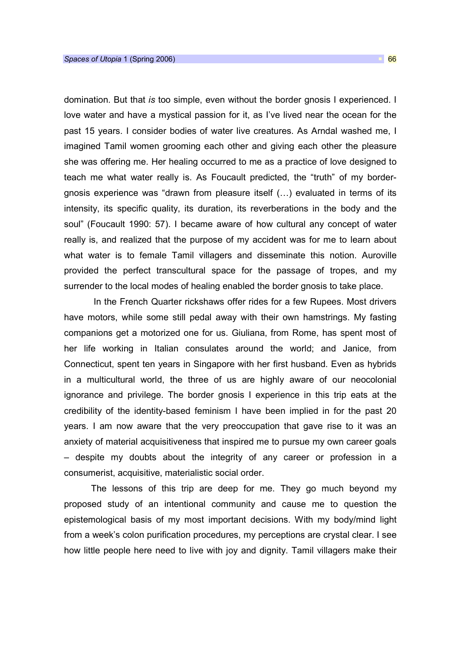domination. But that is too simple, even without the border gnosis I experienced. I love water and have a mystical passion for it, as I've lived near the ocean for the past 15 years. I consider bodies of water live creatures. As Arndal washed me, I imagined Tamil women grooming each other and giving each other the pleasure she was offering me. Her healing occurred to me as a practice of love designed to teach me what water really is. As Foucault predicted, the "truth" of my bordergnosis experience was "drawn from pleasure itself (…) evaluated in terms of its intensity, its specific quality, its duration, its reverberations in the body and the soul" (Foucault 1990: 57). I became aware of how cultural any concept of water really is, and realized that the purpose of my accident was for me to learn about what water is to female Tamil villagers and disseminate this notion. Auroville provided the perfect transcultural space for the passage of tropes, and my surrender to the local modes of healing enabled the border gnosis to take place.

 In the French Quarter rickshaws offer rides for a few Rupees. Most drivers have motors, while some still pedal away with their own hamstrings. My fasting companions get a motorized one for us. Giuliana, from Rome, has spent most of her life working in Italian consulates around the world; and Janice, from Connecticut, spent ten years in Singapore with her first husband. Even as hybrids in a multicultural world, the three of us are highly aware of our neocolonial ignorance and privilege. The border gnosis I experience in this trip eats at the credibility of the identity-based feminism I have been implied in for the past 20 years. I am now aware that the very preoccupation that gave rise to it was an anxiety of material acquisitiveness that inspired me to pursue my own career goals – despite my doubts about the integrity of any career or profession in a consumerist, acquisitive, materialistic social order.

The lessons of this trip are deep for me. They go much beyond my proposed study of an intentional community and cause me to question the epistemological basis of my most important decisions. With my body/mind light from a week's colon purification procedures, my perceptions are crystal clear. I see how little people here need to live with joy and dignity. Tamil villagers make their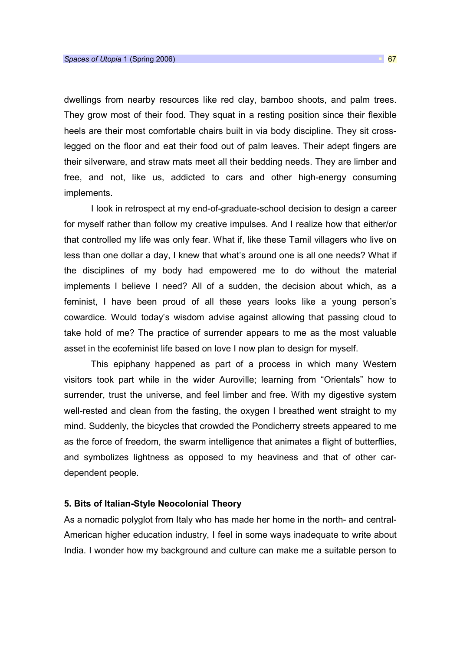dwellings from nearby resources like red clay, bamboo shoots, and palm trees. They grow most of their food. They squat in a resting position since their flexible heels are their most comfortable chairs built in via body discipline. They sit crosslegged on the floor and eat their food out of palm leaves. Their adept fingers are their silverware, and straw mats meet all their bedding needs. They are limber and free, and not, like us, addicted to cars and other high-energy consuming implements.

I look in retrospect at my end-of-graduate-school decision to design a career for myself rather than follow my creative impulses. And I realize how that either/or that controlled my life was only fear. What if, like these Tamil villagers who live on less than one dollar a day, I knew that what's around one is all one needs? What if the disciplines of my body had empowered me to do without the material implements I believe I need? All of a sudden, the decision about which, as a feminist, I have been proud of all these years looks like a young person's cowardice. Would today's wisdom advise against allowing that passing cloud to take hold of me? The practice of surrender appears to me as the most valuable asset in the ecofeminist life based on love I now plan to design for myself.

This epiphany happened as part of a process in which many Western visitors took part while in the wider Auroville; learning from "Orientals" how to surrender, trust the universe, and feel limber and free. With my digestive system well-rested and clean from the fasting, the oxygen I breathed went straight to my mind. Suddenly, the bicycles that crowded the Pondicherry streets appeared to me as the force of freedom, the swarm intelligence that animates a flight of butterflies, and symbolizes lightness as opposed to my heaviness and that of other cardependent people.

### 5. Bits of Italian-Style Neocolonial Theory

As a nomadic polyglot from Italy who has made her home in the north- and central-American higher education industry, I feel in some ways inadequate to write about India. I wonder how my background and culture can make me a suitable person to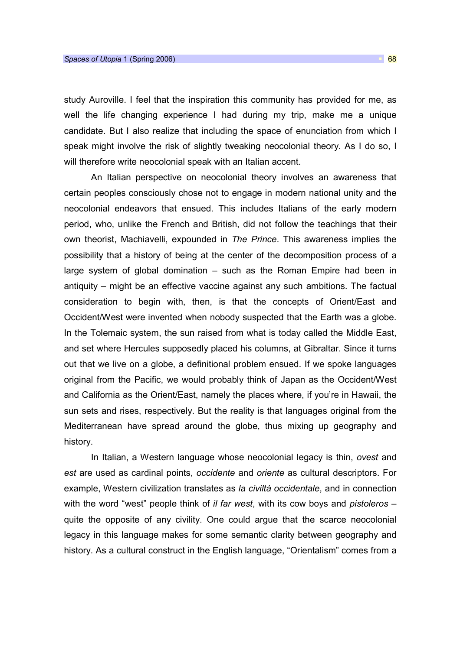study Auroville. I feel that the inspiration this community has provided for me, as well the life changing experience I had during my trip, make me a unique candidate. But I also realize that including the space of enunciation from which I speak might involve the risk of slightly tweaking neocolonial theory. As I do so, I will therefore write neocolonial speak with an Italian accent.

An Italian perspective on neocolonial theory involves an awareness that certain peoples consciously chose not to engage in modern national unity and the neocolonial endeavors that ensued. This includes Italians of the early modern period, who, unlike the French and British, did not follow the teachings that their own theorist, Machiavelli, expounded in The Prince. This awareness implies the possibility that a history of being at the center of the decomposition process of a large system of global domination – such as the Roman Empire had been in antiquity – might be an effective vaccine against any such ambitions. The factual consideration to begin with, then, is that the concepts of Orient/East and Occident/West were invented when nobody suspected that the Earth was a globe. In the Tolemaic system, the sun raised from what is today called the Middle East, and set where Hercules supposedly placed his columns, at Gibraltar. Since it turns out that we live on a globe, a definitional problem ensued. If we spoke languages original from the Pacific, we would probably think of Japan as the Occident/West and California as the Orient/East, namely the places where, if you're in Hawaii, the sun sets and rises, respectively. But the reality is that languages original from the Mediterranean have spread around the globe, thus mixing up geography and history.

In Italian, a Western language whose neocolonial legacy is thin, ovest and est are used as cardinal points, occidente and oriente as cultural descriptors. For example, Western civilization translates as la civiltà occidentale, and in connection with the word "west" people think of *il far west*, with its cow boys and *pistoleros –* quite the opposite of any civility. One could argue that the scarce neocolonial legacy in this language makes for some semantic clarity between geography and history. As a cultural construct in the English language, "Orientalism" comes from a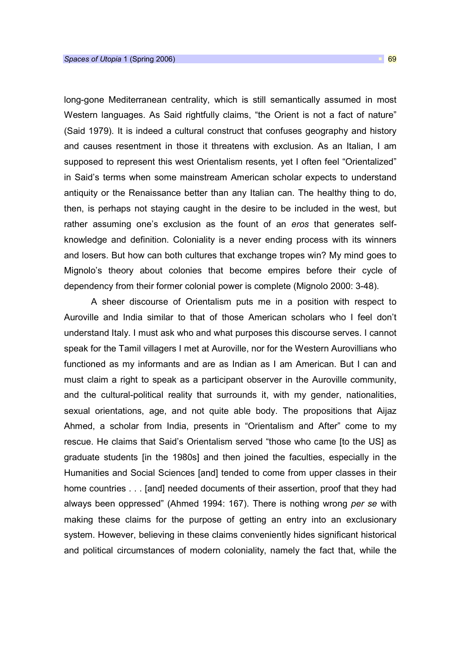long-gone Mediterranean centrality, which is still semantically assumed in most Western languages. As Said rightfully claims, "the Orient is not a fact of nature" (Said 1979). It is indeed a cultural construct that confuses geography and history and causes resentment in those it threatens with exclusion. As an Italian, I am supposed to represent this west Orientalism resents, yet I often feel "Orientalized" in Said's terms when some mainstream American scholar expects to understand antiquity or the Renaissance better than any Italian can. The healthy thing to do, then, is perhaps not staying caught in the desire to be included in the west, but rather assuming one's exclusion as the fount of an eros that generates selfknowledge and definition. Coloniality is a never ending process with its winners and losers. But how can both cultures that exchange tropes win? My mind goes to Mignolo's theory about colonies that become empires before their cycle of dependency from their former colonial power is complete (Mignolo 2000: 3-48).

A sheer discourse of Orientalism puts me in a position with respect to Auroville and India similar to that of those American scholars who I feel don't understand Italy. I must ask who and what purposes this discourse serves. I cannot speak for the Tamil villagers I met at Auroville, nor for the Western Aurovillians who functioned as my informants and are as Indian as I am American. But I can and must claim a right to speak as a participant observer in the Auroville community, and the cultural-political reality that surrounds it, with my gender, nationalities, sexual orientations, age, and not quite able body. The propositions that Aijaz Ahmed, a scholar from India, presents in "Orientalism and After" come to my rescue. He claims that Said's Orientalism served "those who came [to the US] as graduate students [in the 1980s] and then joined the faculties, especially in the Humanities and Social Sciences [and] tended to come from upper classes in their home countries . . . [and] needed documents of their assertion, proof that they had always been oppressed" (Ahmed 1994: 167). There is nothing wrong per se with making these claims for the purpose of getting an entry into an exclusionary system. However, believing in these claims conveniently hides significant historical and political circumstances of modern coloniality, namely the fact that, while the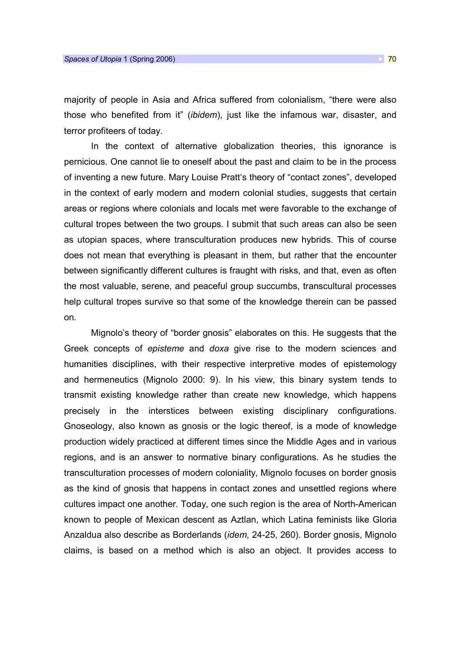majority of people in Asia and Africa suffered from colonialism, "there were also those who benefited from it" (ibidem), just like the infamous war, disaster, and terror profiteers of today.

In the context of alternative globalization theories, this ignorance is pernicious. One cannot lie to oneself about the past and claim to be in the process of inventing a new future. Mary Louise Pratt's theory of "contact zones", developed in the context of early modern and modern colonial studies, suggests that certain areas or regions where colonials and locals met were favorable to the exchange of cultural tropes between the two groups. I submit that such areas can also be seen as utopian spaces, where transculturation produces new hybrids. This of course does not mean that everything is pleasant in them, but rather that the encounter between significantly different cultures is fraught with risks, and that, even as often the most valuable, serene, and peaceful group succumbs, transcultural processes help cultural tropes survive so that some of the knowledge therein can be passed on.

Mignolo's theory of "border gnosis" elaborates on this. He suggests that the Greek concepts of episteme and doxa give rise to the modern sciences and humanities disciplines, with their respective interpretive modes of epistemology and hermeneutics (Mignolo 2000: 9). In his view, this binary system tends to transmit existing knowledge rather than create new knowledge, which happens precisely in the interstices between existing disciplinary configurations. Gnoseology, also known as gnosis or the logic thereof, is a mode of knowledge production widely practiced at different times since the Middle Ages and in various regions, and is an answer to normative binary configurations. As he studies the transculturation processes of modern coloniality, Mignolo focuses on border gnosis as the kind of gnosis that happens in contact zones and unsettled regions where cultures impact one another. Today, one such region is the area of North-American known to people of Mexican descent as Aztlan, which Latina feminists like Gloria Anzaldua also describe as Borderlands (idem, 24-25, 260). Border gnosis, Mignolo claims, is based on a method which is also an object. It provides access to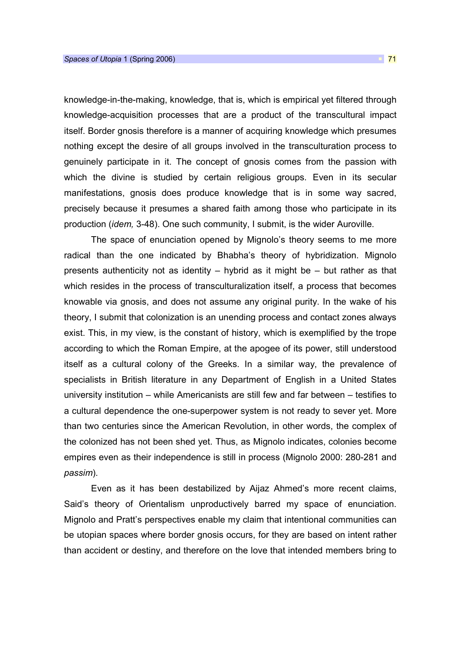knowledge-in-the-making, knowledge, that is, which is empirical yet filtered through knowledge-acquisition processes that are a product of the transcultural impact itself. Border gnosis therefore is a manner of acquiring knowledge which presumes nothing except the desire of all groups involved in the transculturation process to genuinely participate in it. The concept of gnosis comes from the passion with which the divine is studied by certain religious groups. Even in its secular manifestations, gnosis does produce knowledge that is in some way sacred, precisely because it presumes a shared faith among those who participate in its production (idem, 3-48). One such community, I submit, is the wider Auroville.

The space of enunciation opened by Mignolo's theory seems to me more radical than the one indicated by Bhabha's theory of hybridization. Mignolo presents authenticity not as identity – hybrid as it might be – but rather as that which resides in the process of transculturalization itself, a process that becomes knowable via gnosis, and does not assume any original purity. In the wake of his theory, I submit that colonization is an unending process and contact zones always exist. This, in my view, is the constant of history, which is exemplified by the trope according to which the Roman Empire, at the apogee of its power, still understood itself as a cultural colony of the Greeks. In a similar way, the prevalence of specialists in British literature in any Department of English in a United States university institution – while Americanists are still few and far between – testifies to a cultural dependence the one-superpower system is not ready to sever yet. More than two centuries since the American Revolution, in other words, the complex of the colonized has not been shed yet. Thus, as Mignolo indicates, colonies become empires even as their independence is still in process (Mignolo 2000: 280-281 and passim).

Even as it has been destabilized by Aijaz Ahmed's more recent claims, Said's theory of Orientalism unproductively barred my space of enunciation. Mignolo and Pratt's perspectives enable my claim that intentional communities can be utopian spaces where border gnosis occurs, for they are based on intent rather than accident or destiny, and therefore on the love that intended members bring to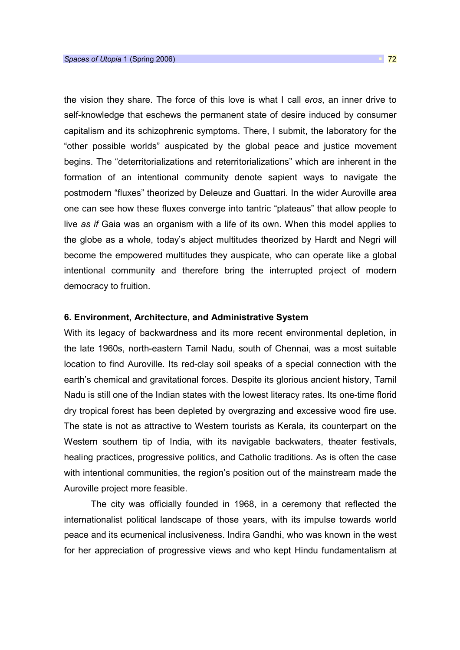the vision they share. The force of this love is what I call eros, an inner drive to self-knowledge that eschews the permanent state of desire induced by consumer capitalism and its schizophrenic symptoms. There, I submit, the laboratory for the "other possible worlds" auspicated by the global peace and justice movement begins. The "deterritorializations and reterritorializations" which are inherent in the formation of an intentional community denote sapient ways to navigate the postmodern "fluxes" theorized by Deleuze and Guattari. In the wider Auroville area one can see how these fluxes converge into tantric "plateaus" that allow people to live as if Gaia was an organism with a life of its own. When this model applies to the globe as a whole, today's abject multitudes theorized by Hardt and Negri will become the empowered multitudes they auspicate, who can operate like a global intentional community and therefore bring the interrupted project of modern democracy to fruition.

# 6. Environment, Architecture, and Administrative System

With its legacy of backwardness and its more recent environmental depletion, in the late 1960s, north-eastern Tamil Nadu, south of Chennai, was a most suitable location to find Auroville. Its red-clay soil speaks of a special connection with the earth's chemical and gravitational forces. Despite its glorious ancient history, Tamil Nadu is still one of the Indian states with the lowest literacy rates. Its one-time florid dry tropical forest has been depleted by overgrazing and excessive wood fire use. The state is not as attractive to Western tourists as Kerala, its counterpart on the Western southern tip of India, with its navigable backwaters, theater festivals, healing practices, progressive politics, and Catholic traditions. As is often the case with intentional communities, the region's position out of the mainstream made the Auroville project more feasible.

The city was officially founded in 1968, in a ceremony that reflected the internationalist political landscape of those years, with its impulse towards world peace and its ecumenical inclusiveness. Indira Gandhi, who was known in the west for her appreciation of progressive views and who kept Hindu fundamentalism at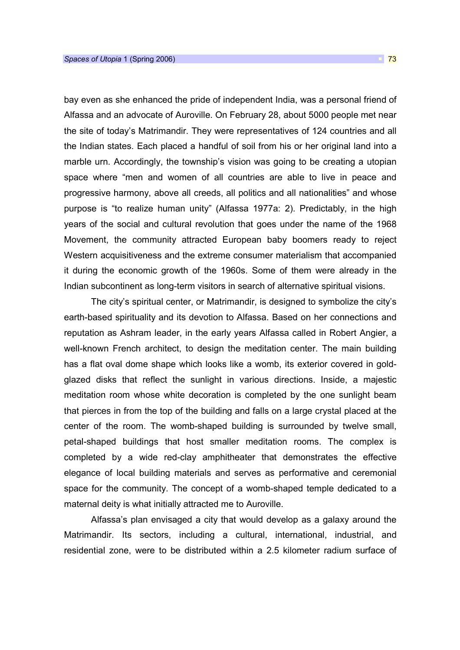bay even as she enhanced the pride of independent India, was a personal friend of Alfassa and an advocate of Auroville. On February 28, about 5000 people met near the site of today's Matrimandir. They were representatives of 124 countries and all the Indian states. Each placed a handful of soil from his or her original land into a marble urn. Accordingly, the township's vision was going to be creating a utopian space where "men and women of all countries are able to live in peace and progressive harmony, above all creeds, all politics and all nationalities" and whose purpose is "to realize human unity" (Alfassa 1977a: 2). Predictably, in the high years of the social and cultural revolution that goes under the name of the 1968 Movement, the community attracted European baby boomers ready to reject Western acquisitiveness and the extreme consumer materialism that accompanied it during the economic growth of the 1960s. Some of them were already in the Indian subcontinent as long-term visitors in search of alternative spiritual visions.

The city's spiritual center, or Matrimandir, is designed to symbolize the city's earth-based spirituality and its devotion to Alfassa. Based on her connections and reputation as Ashram leader, in the early years Alfassa called in Robert Angier, a well-known French architect, to design the meditation center. The main building has a flat oval dome shape which looks like a womb, its exterior covered in goldglazed disks that reflect the sunlight in various directions. Inside, a majestic meditation room whose white decoration is completed by the one sunlight beam that pierces in from the top of the building and falls on a large crystal placed at the center of the room. The womb-shaped building is surrounded by twelve small, petal-shaped buildings that host smaller meditation rooms. The complex is completed by a wide red-clay amphitheater that demonstrates the effective elegance of local building materials and serves as performative and ceremonial space for the community. The concept of a womb-shaped temple dedicated to a maternal deity is what initially attracted me to Auroville.

Alfassa's plan envisaged a city that would develop as a galaxy around the Matrimandir. Its sectors, including a cultural, international, industrial, and residential zone, were to be distributed within a 2.5 kilometer radium surface of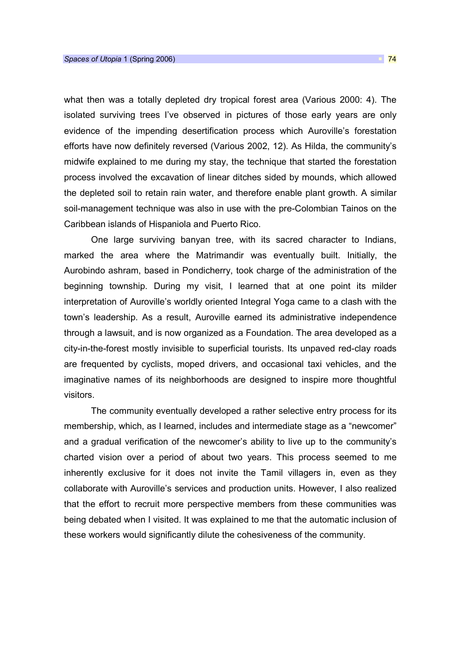what then was a totally depleted dry tropical forest area (Various 2000: 4). The isolated surviving trees I've observed in pictures of those early years are only evidence of the impending desertification process which Auroville's forestation efforts have now definitely reversed (Various 2002, 12). As Hilda, the community's midwife explained to me during my stay, the technique that started the forestation process involved the excavation of linear ditches sided by mounds, which allowed the depleted soil to retain rain water, and therefore enable plant growth. A similar soil-management technique was also in use with the pre-Colombian Tainos on the Caribbean islands of Hispaniola and Puerto Rico.

One large surviving banyan tree, with its sacred character to Indians, marked the area where the Matrimandir was eventually built. Initially, the Aurobindo ashram, based in Pondicherry, took charge of the administration of the beginning township. During my visit, I learned that at one point its milder interpretation of Auroville's worldly oriented Integral Yoga came to a clash with the town's leadership. As a result, Auroville earned its administrative independence through a lawsuit, and is now organized as a Foundation. The area developed as a city-in-the-forest mostly invisible to superficial tourists. Its unpaved red-clay roads are frequented by cyclists, moped drivers, and occasional taxi vehicles, and the imaginative names of its neighborhoods are designed to inspire more thoughtful visitors.

The community eventually developed a rather selective entry process for its membership, which, as I learned, includes and intermediate stage as a "newcomer" and a gradual verification of the newcomer's ability to live up to the community's charted vision over a period of about two years. This process seemed to me inherently exclusive for it does not invite the Tamil villagers in, even as they collaborate with Auroville's services and production units. However, I also realized that the effort to recruit more perspective members from these communities was being debated when I visited. It was explained to me that the automatic inclusion of these workers would significantly dilute the cohesiveness of the community.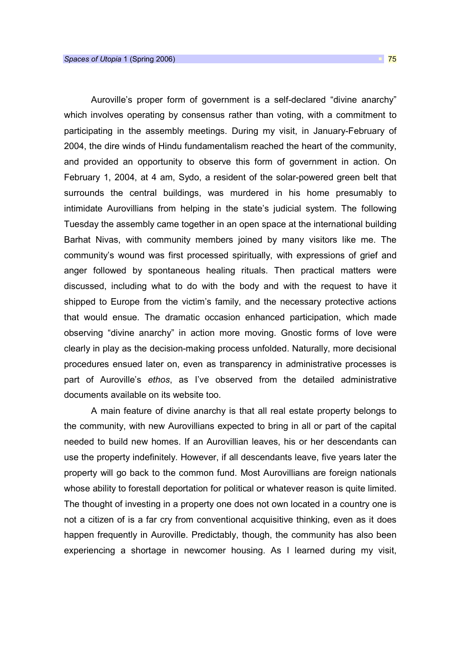Auroville's proper form of government is a self-declared "divine anarchy" which involves operating by consensus rather than voting, with a commitment to participating in the assembly meetings. During my visit, in January-February of 2004, the dire winds of Hindu fundamentalism reached the heart of the community, and provided an opportunity to observe this form of government in action. On February 1, 2004, at 4 am, Sydo, a resident of the solar-powered green belt that surrounds the central buildings, was murdered in his home presumably to intimidate Aurovillians from helping in the state's judicial system. The following Tuesday the assembly came together in an open space at the international building Barhat Nivas, with community members joined by many visitors like me. The community's wound was first processed spiritually, with expressions of grief and anger followed by spontaneous healing rituals. Then practical matters were discussed, including what to do with the body and with the request to have it shipped to Europe from the victim's family, and the necessary protective actions that would ensue. The dramatic occasion enhanced participation, which made observing "divine anarchy" in action more moving. Gnostic forms of love were clearly in play as the decision-making process unfolded. Naturally, more decisional procedures ensued later on, even as transparency in administrative processes is part of Auroville's ethos, as I've observed from the detailed administrative documents available on its website too.

A main feature of divine anarchy is that all real estate property belongs to the community, with new Aurovillians expected to bring in all or part of the capital needed to build new homes. If an Aurovillian leaves, his or her descendants can use the property indefinitely. However, if all descendants leave, five years later the property will go back to the common fund. Most Aurovillians are foreign nationals whose ability to forestall deportation for political or whatever reason is quite limited. The thought of investing in a property one does not own located in a country one is not a citizen of is a far cry from conventional acquisitive thinking, even as it does happen frequently in Auroville. Predictably, though, the community has also been experiencing a shortage in newcomer housing. As I learned during my visit,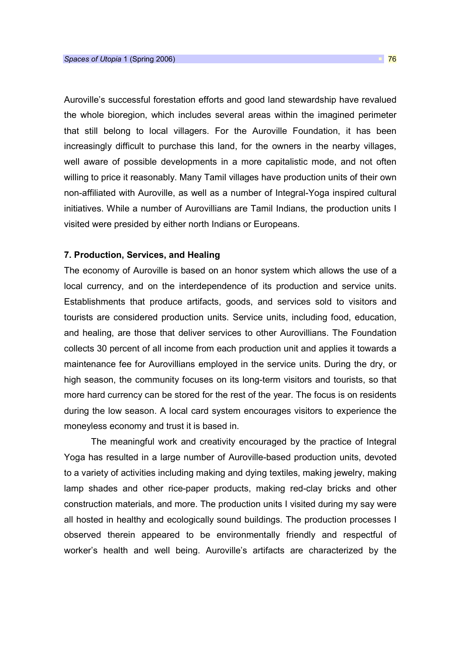Auroville's successful forestation efforts and good land stewardship have revalued the whole bioregion, which includes several areas within the imagined perimeter that still belong to local villagers. For the Auroville Foundation, it has been increasingly difficult to purchase this land, for the owners in the nearby villages, well aware of possible developments in a more capitalistic mode, and not often willing to price it reasonably. Many Tamil villages have production units of their own non-affiliated with Auroville, as well as a number of Integral-Yoga inspired cultural initiatives. While a number of Aurovillians are Tamil Indians, the production units I visited were presided by either north Indians or Europeans.

#### 7. Production, Services, and Healing

The economy of Auroville is based on an honor system which allows the use of a local currency, and on the interdependence of its production and service units. Establishments that produce artifacts, goods, and services sold to visitors and tourists are considered production units. Service units, including food, education, and healing, are those that deliver services to other Aurovillians. The Foundation collects 30 percent of all income from each production unit and applies it towards a maintenance fee for Aurovillians employed in the service units. During the dry, or high season, the community focuses on its long-term visitors and tourists, so that more hard currency can be stored for the rest of the year. The focus is on residents during the low season. A local card system encourages visitors to experience the moneyless economy and trust it is based in.

The meaningful work and creativity encouraged by the practice of Integral Yoga has resulted in a large number of Auroville-based production units, devoted to a variety of activities including making and dying textiles, making jewelry, making lamp shades and other rice-paper products, making red-clay bricks and other construction materials, and more. The production units I visited during my say were all hosted in healthy and ecologically sound buildings. The production processes I observed therein appeared to be environmentally friendly and respectful of worker's health and well being. Auroville's artifacts are characterized by the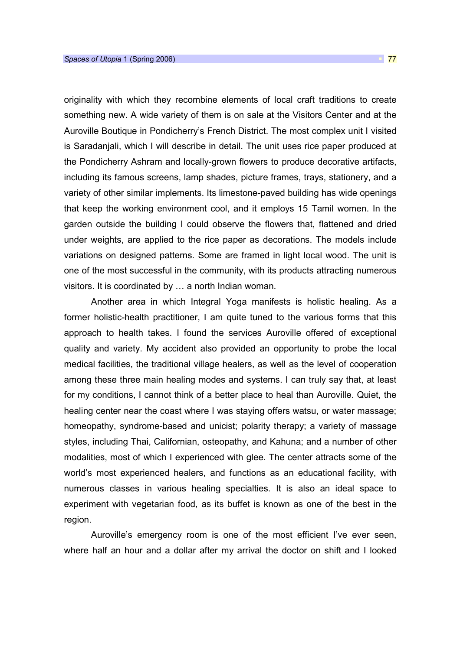originality with which they recombine elements of local craft traditions to create something new. A wide variety of them is on sale at the Visitors Center and at the Auroville Boutique in Pondicherry's French District. The most complex unit I visited is Saradanjali, which I will describe in detail. The unit uses rice paper produced at the Pondicherry Ashram and locally-grown flowers to produce decorative artifacts, including its famous screens, lamp shades, picture frames, trays, stationery, and a variety of other similar implements. Its limestone-paved building has wide openings that keep the working environment cool, and it employs 15 Tamil women. In the garden outside the building I could observe the flowers that, flattened and dried under weights, are applied to the rice paper as decorations. The models include variations on designed patterns. Some are framed in light local wood. The unit is one of the most successful in the community, with its products attracting numerous visitors. It is coordinated by … a north Indian woman.

Another area in which Integral Yoga manifests is holistic healing. As a former holistic-health practitioner, I am quite tuned to the various forms that this approach to health takes. I found the services Auroville offered of exceptional quality and variety. My accident also provided an opportunity to probe the local medical facilities, the traditional village healers, as well as the level of cooperation among these three main healing modes and systems. I can truly say that, at least for my conditions, I cannot think of a better place to heal than Auroville. Quiet, the healing center near the coast where I was staying offers watsu, or water massage; homeopathy, syndrome-based and unicist; polarity therapy; a variety of massage styles, including Thai, Californian, osteopathy, and Kahuna; and a number of other modalities, most of which I experienced with glee. The center attracts some of the world's most experienced healers, and functions as an educational facility, with numerous classes in various healing specialties. It is also an ideal space to experiment with vegetarian food, as its buffet is known as one of the best in the region.

Auroville's emergency room is one of the most efficient I've ever seen, where half an hour and a dollar after my arrival the doctor on shift and I looked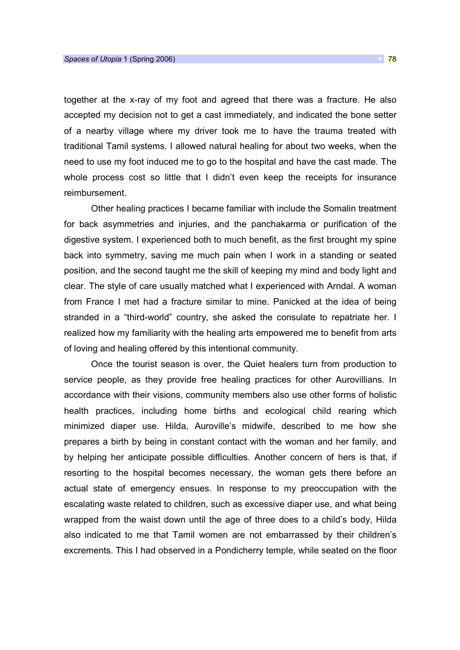together at the x-ray of my foot and agreed that there was a fracture. He also accepted my decision not to get a cast immediately, and indicated the bone setter of a nearby village where my driver took me to have the trauma treated with traditional Tamil systems. I allowed natural healing for about two weeks, when the need to use my foot induced me to go to the hospital and have the cast made. The whole process cost so little that I didn't even keep the receipts for insurance reimbursement.

Other healing practices I became familiar with include the Somalin treatment for back asymmetries and injuries, and the panchakarma or purification of the digestive system. I experienced both to much benefit, as the first brought my spine back into symmetry, saving me much pain when I work in a standing or seated position, and the second taught me the skill of keeping my mind and body light and clear. The style of care usually matched what I experienced with Arndal. A woman from France I met had a fracture similar to mine. Panicked at the idea of being stranded in a "third-world" country, she asked the consulate to repatriate her. I realized how my familiarity with the healing arts empowered me to benefit from arts of loving and healing offered by this intentional community.

Once the tourist season is over, the Quiet healers turn from production to service people, as they provide free healing practices for other Aurovillians. In accordance with their visions, community members also use other forms of holistic health practices, including home births and ecological child rearing which minimized diaper use. Hilda, Auroville's midwife, described to me how she prepares a birth by being in constant contact with the woman and her family, and by helping her anticipate possible difficulties. Another concern of hers is that, if resorting to the hospital becomes necessary, the woman gets there before an actual state of emergency ensues. In response to my preoccupation with the escalating waste related to children, such as excessive diaper use, and what being wrapped from the waist down until the age of three does to a child's body, Hilda also indicated to me that Tamil women are not embarrassed by their children's excrements. This I had observed in a Pondicherry temple, while seated on the floor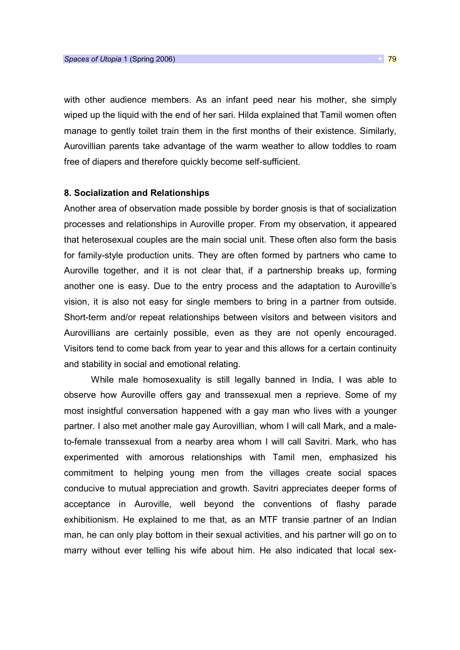with other audience members. As an infant peed near his mother, she simply wiped up the liquid with the end of her sari. Hilda explained that Tamil women often manage to gently toilet train them in the first months of their existence. Similarly, Aurovillian parents take advantage of the warm weather to allow toddles to roam free of diapers and therefore quickly become self-sufficient.

## 8. Socialization and Relationships

Another area of observation made possible by border gnosis is that of socialization processes and relationships in Auroville proper. From my observation, it appeared that heterosexual couples are the main social unit. These often also form the basis for family-style production units. They are often formed by partners who came to Auroville together, and it is not clear that, if a partnership breaks up, forming another one is easy. Due to the entry process and the adaptation to Auroville's vision, it is also not easy for single members to bring in a partner from outside. Short-term and/or repeat relationships between visitors and between visitors and Aurovillians are certainly possible, even as they are not openly encouraged. Visitors tend to come back from year to year and this allows for a certain continuity and stability in social and emotional relating.

While male homosexuality is still legally banned in India, I was able to observe how Auroville offers gay and transsexual men a reprieve. Some of my most insightful conversation happened with a gay man who lives with a younger partner. I also met another male gay Aurovillian, whom I will call Mark, and a maleto-female transsexual from a nearby area whom I will call Savitri. Mark, who has experimented with amorous relationships with Tamil men, emphasized his commitment to helping young men from the villages create social spaces conducive to mutual appreciation and growth. Savitri appreciates deeper forms of acceptance in Auroville, well beyond the conventions of flashy parade exhibitionism. He explained to me that, as an MTF transie partner of an Indian man, he can only play bottom in their sexual activities, and his partner will go on to marry without ever telling his wife about him. He also indicated that local sex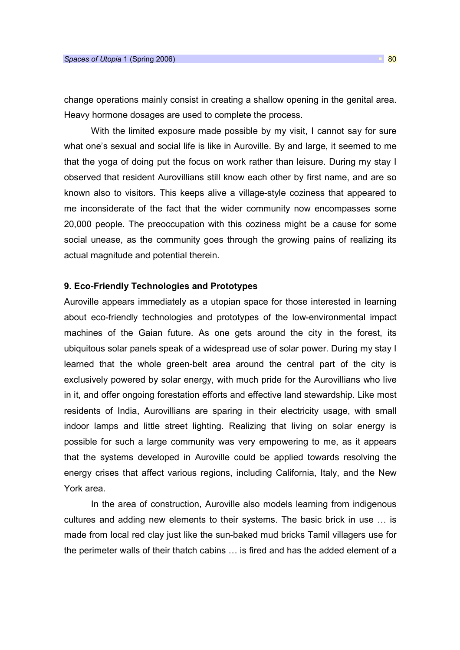change operations mainly consist in creating a shallow opening in the genital area. Heavy hormone dosages are used to complete the process.

With the limited exposure made possible by my visit, I cannot say for sure what one's sexual and social life is like in Auroville. By and large, it seemed to me that the yoga of doing put the focus on work rather than leisure. During my stay I observed that resident Aurovillians still know each other by first name, and are so known also to visitors. This keeps alive a village-style coziness that appeared to me inconsiderate of the fact that the wider community now encompasses some 20,000 people. The preoccupation with this coziness might be a cause for some social unease, as the community goes through the growing pains of realizing its actual magnitude and potential therein.

#### 9. Eco-Friendly Technologies and Prototypes

Auroville appears immediately as a utopian space for those interested in learning about eco-friendly technologies and prototypes of the low-environmental impact machines of the Gaian future. As one gets around the city in the forest, its ubiquitous solar panels speak of a widespread use of solar power. During my stay I learned that the whole green-belt area around the central part of the city is exclusively powered by solar energy, with much pride for the Aurovillians who live in it, and offer ongoing forestation efforts and effective land stewardship. Like most residents of India, Aurovillians are sparing in their electricity usage, with small indoor lamps and little street lighting. Realizing that living on solar energy is possible for such a large community was very empowering to me, as it appears that the systems developed in Auroville could be applied towards resolving the energy crises that affect various regions, including California, Italy, and the New York area.

In the area of construction, Auroville also models learning from indigenous cultures and adding new elements to their systems. The basic brick in use … is made from local red clay just like the sun-baked mud bricks Tamil villagers use for the perimeter walls of their thatch cabins … is fired and has the added element of a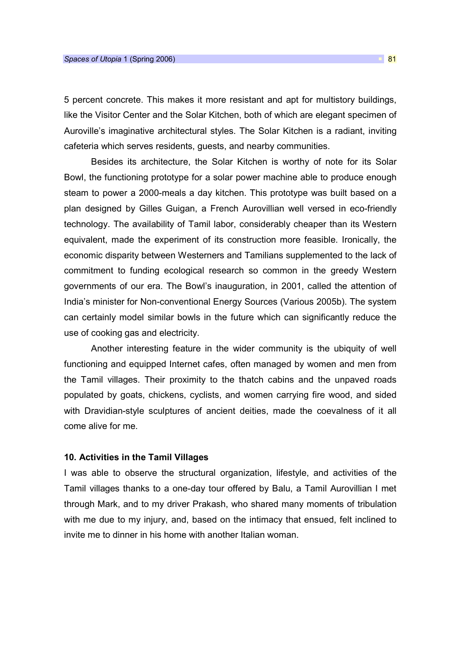5 percent concrete. This makes it more resistant and apt for multistory buildings, like the Visitor Center and the Solar Kitchen, both of which are elegant specimen of Auroville's imaginative architectural styles. The Solar Kitchen is a radiant, inviting cafeteria which serves residents, guests, and nearby communities.

Besides its architecture, the Solar Kitchen is worthy of note for its Solar Bowl, the functioning prototype for a solar power machine able to produce enough steam to power a 2000-meals a day kitchen. This prototype was built based on a plan designed by Gilles Guigan, a French Aurovillian well versed in eco-friendly technology. The availability of Tamil labor, considerably cheaper than its Western equivalent, made the experiment of its construction more feasible. Ironically, the economic disparity between Westerners and Tamilians supplemented to the lack of commitment to funding ecological research so common in the greedy Western governments of our era. The Bowl's inauguration, in 2001, called the attention of India's minister for Non-conventional Energy Sources (Various 2005b). The system can certainly model similar bowls in the future which can significantly reduce the use of cooking gas and electricity.

Another interesting feature in the wider community is the ubiquity of well functioning and equipped Internet cafes, often managed by women and men from the Tamil villages. Their proximity to the thatch cabins and the unpaved roads populated by goats, chickens, cyclists, and women carrying fire wood, and sided with Dravidian-style sculptures of ancient deities, made the coevalness of it all come alive for me.

### 10. Activities in the Tamil Villages

I was able to observe the structural organization, lifestyle, and activities of the Tamil villages thanks to a one-day tour offered by Balu, a Tamil Aurovillian I met through Mark, and to my driver Prakash, who shared many moments of tribulation with me due to my injury, and, based on the intimacy that ensued, felt inclined to invite me to dinner in his home with another Italian woman.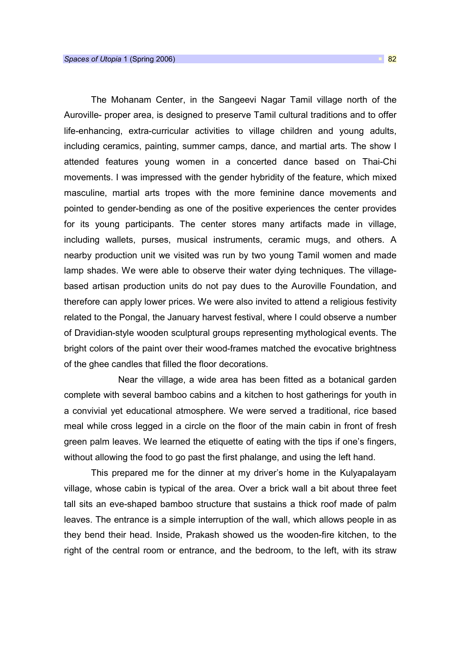The Mohanam Center, in the Sangeevi Nagar Tamil village north of the Auroville- proper area, is designed to preserve Tamil cultural traditions and to offer life-enhancing, extra-curricular activities to village children and young adults, including ceramics, painting, summer camps, dance, and martial arts. The show I attended features young women in a concerted dance based on Thai-Chi movements. I was impressed with the gender hybridity of the feature, which mixed masculine, martial arts tropes with the more feminine dance movements and pointed to gender-bending as one of the positive experiences the center provides for its young participants. The center stores many artifacts made in village, including wallets, purses, musical instruments, ceramic mugs, and others. A nearby production unit we visited was run by two young Tamil women and made lamp shades. We were able to observe their water dying techniques. The villagebased artisan production units do not pay dues to the Auroville Foundation, and therefore can apply lower prices. We were also invited to attend a religious festivity related to the Pongal, the January harvest festival, where I could observe a number of Dravidian-style wooden sculptural groups representing mythological events. The bright colors of the paint over their wood-frames matched the evocative brightness of the ghee candles that filled the floor decorations.

 Near the village, a wide area has been fitted as a botanical garden complete with several bamboo cabins and a kitchen to host gatherings for youth in a convivial yet educational atmosphere. We were served a traditional, rice based meal while cross legged in a circle on the floor of the main cabin in front of fresh green palm leaves. We learned the etiquette of eating with the tips if one's fingers, without allowing the food to go past the first phalange, and using the left hand.

This prepared me for the dinner at my driver's home in the Kulyapalayam village, whose cabin is typical of the area. Over a brick wall a bit about three feet tall sits an eve-shaped bamboo structure that sustains a thick roof made of palm leaves. The entrance is a simple interruption of the wall, which allows people in as they bend their head. Inside, Prakash showed us the wooden-fire kitchen, to the right of the central room or entrance, and the bedroom, to the left, with its straw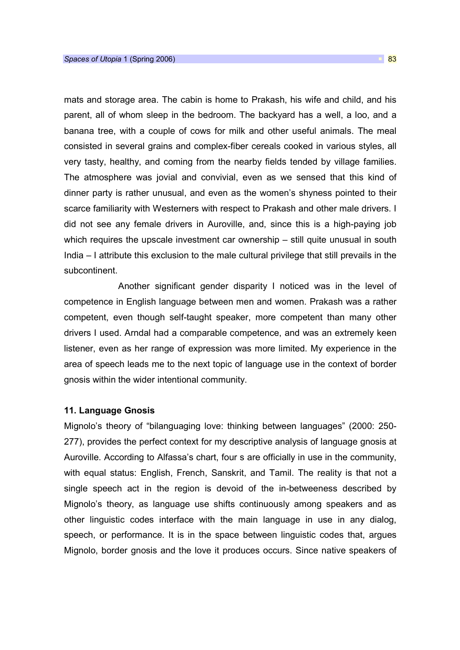mats and storage area. The cabin is home to Prakash, his wife and child, and his parent, all of whom sleep in the bedroom. The backyard has a well, a loo, and a banana tree, with a couple of cows for milk and other useful animals. The meal consisted in several grains and complex-fiber cereals cooked in various styles, all very tasty, healthy, and coming from the nearby fields tended by village families. The atmosphere was jovial and convivial, even as we sensed that this kind of dinner party is rather unusual, and even as the women's shyness pointed to their scarce familiarity with Westerners with respect to Prakash and other male drivers. I did not see any female drivers in Auroville, and, since this is a high-paying job which requires the upscale investment car ownership – still quite unusual in south India – I attribute this exclusion to the male cultural privilege that still prevails in the subcontinent.

 Another significant gender disparity I noticed was in the level of competence in English language between men and women. Prakash was a rather competent, even though self-taught speaker, more competent than many other drivers I used. Arndal had a comparable competence, and was an extremely keen listener, even as her range of expression was more limited. My experience in the area of speech leads me to the next topic of language use in the context of border gnosis within the wider intentional community.

#### 11. Language Gnosis

Mignolo's theory of "bilanguaging love: thinking between languages" (2000: 250- 277), provides the perfect context for my descriptive analysis of language gnosis at Auroville. According to Alfassa's chart, four s are officially in use in the community, with equal status: English, French, Sanskrit, and Tamil. The reality is that not a single speech act in the region is devoid of the in-betweeness described by Mignolo's theory, as language use shifts continuously among speakers and as other linguistic codes interface with the main language in use in any dialog, speech, or performance. It is in the space between linguistic codes that, argues Mignolo, border gnosis and the love it produces occurs. Since native speakers of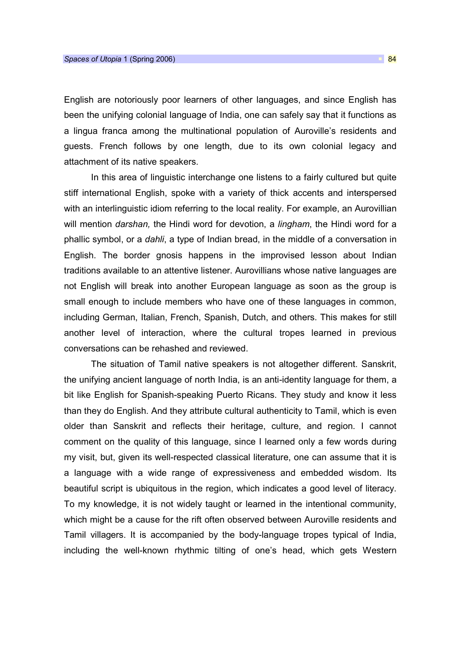English are notoriously poor learners of other languages, and since English has been the unifying colonial language of India, one can safely say that it functions as a lingua franca among the multinational population of Auroville's residents and guests. French follows by one length, due to its own colonial legacy and attachment of its native speakers.

In this area of linguistic interchange one listens to a fairly cultured but quite stiff international English, spoke with a variety of thick accents and interspersed with an interlinguistic idiom referring to the local reality. For example, an Aurovillian will mention darshan, the Hindi word for devotion, a lingham, the Hindi word for a phallic symbol, or a dahli, a type of Indian bread, in the middle of a conversation in English. The border gnosis happens in the improvised lesson about Indian traditions available to an attentive listener. Aurovillians whose native languages are not English will break into another European language as soon as the group is small enough to include members who have one of these languages in common, including German, Italian, French, Spanish, Dutch, and others. This makes for still another level of interaction, where the cultural tropes learned in previous conversations can be rehashed and reviewed.

The situation of Tamil native speakers is not altogether different. Sanskrit, the unifying ancient language of north India, is an anti-identity language for them, a bit like English for Spanish-speaking Puerto Ricans. They study and know it less than they do English. And they attribute cultural authenticity to Tamil, which is even older than Sanskrit and reflects their heritage, culture, and region. I cannot comment on the quality of this language, since I learned only a few words during my visit, but, given its well-respected classical literature, one can assume that it is a language with a wide range of expressiveness and embedded wisdom. Its beautiful script is ubiquitous in the region, which indicates a good level of literacy. To my knowledge, it is not widely taught or learned in the intentional community, which might be a cause for the rift often observed between Auroville residents and Tamil villagers. It is accompanied by the body-language tropes typical of India, including the well-known rhythmic tilting of one's head, which gets Western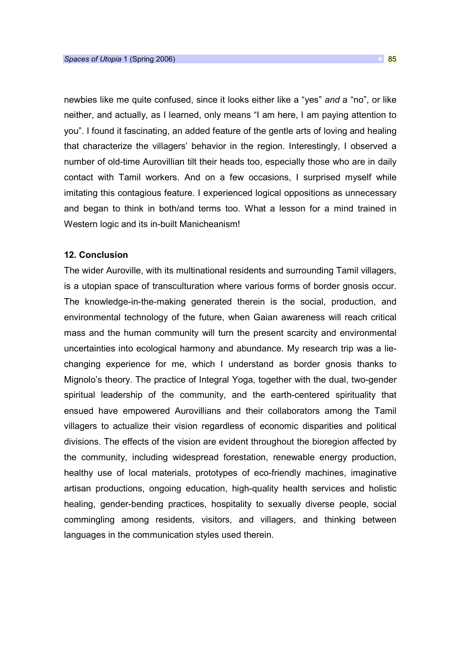newbies like me quite confused, since it looks either like a "yes" and a "no", or like neither, and actually, as I learned, only means "I am here, I am paying attention to you". I found it fascinating, an added feature of the gentle arts of loving and healing that characterize the villagers' behavior in the region. Interestingly, I observed a number of old-time Aurovillian tilt their heads too, especially those who are in daily contact with Tamil workers. And on a few occasions, I surprised myself while imitating this contagious feature. I experienced logical oppositions as unnecessary and began to think in both/and terms too. What a lesson for a mind trained in Western logic and its in-built Manicheanism!

#### 12. Conclusion

The wider Auroville, with its multinational residents and surrounding Tamil villagers, is a utopian space of transculturation where various forms of border gnosis occur. The knowledge-in-the-making generated therein is the social, production, and environmental technology of the future, when Gaian awareness will reach critical mass and the human community will turn the present scarcity and environmental uncertainties into ecological harmony and abundance. My research trip was a liechanging experience for me, which I understand as border gnosis thanks to Mignolo's theory. The practice of Integral Yoga, together with the dual, two-gender spiritual leadership of the community, and the earth-centered spirituality that ensued have empowered Aurovillians and their collaborators among the Tamil villagers to actualize their vision regardless of economic disparities and political divisions. The effects of the vision are evident throughout the bioregion affected by the community, including widespread forestation, renewable energy production, healthy use of local materials, prototypes of eco-friendly machines, imaginative artisan productions, ongoing education, high-quality health services and holistic healing, gender-bending practices, hospitality to sexually diverse people, social commingling among residents, visitors, and villagers, and thinking between languages in the communication styles used therein.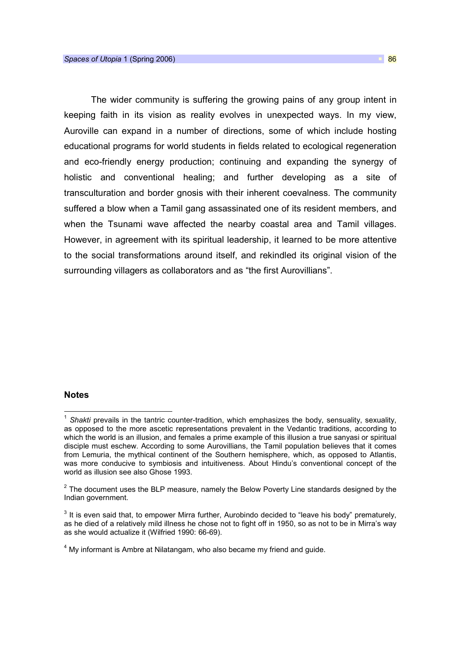The wider community is suffering the growing pains of any group intent in keeping faith in its vision as reality evolves in unexpected ways. In my view, Auroville can expand in a number of directions, some of which include hosting educational programs for world students in fields related to ecological regeneration and eco-friendly energy production; continuing and expanding the synergy of holistic and conventional healing; and further developing as a site of transculturation and border gnosis with their inherent coevalness. The community suffered a blow when a Tamil gang assassinated one of its resident members, and when the Tsunami wave affected the nearby coastal area and Tamil villages. However, in agreement with its spiritual leadership, it learned to be more attentive to the social transformations around itself, and rekindled its original vision of the surrounding villagers as collaborators and as "the first Aurovillians".

## **Notes**

 $\overline{a}$ 

 $1$  Shakti prevails in the tantric counter-tradition, which emphasizes the body, sensuality, sexuality, as opposed to the more ascetic representations prevalent in the Vedantic traditions, according to which the world is an illusion, and females a prime example of this illusion a true sanyasi or spiritual disciple must eschew. According to some Aurovillians, the Tamil population believes that it comes from Lemuria, the mythical continent of the Southern hemisphere, which, as opposed to Atlantis, was more conducive to symbiosis and intuitiveness. About Hindu's conventional concept of the world as illusion see also Ghose 1993.

 $2$  The document uses the BLP measure, namely the Below Poverty Line standards designed by the Indian government.

 $3$  It is even said that, to empower Mirra further, Aurobindo decided to "leave his body" prematurely, as he died of a relatively mild illness he chose not to fight off in 1950, so as not to be in Mirra's way as she would actualize it (Wilfried 1990: 66-69).

 $<sup>4</sup>$  My informant is Ambre at Nilatangam, who also became my friend and guide.</sup>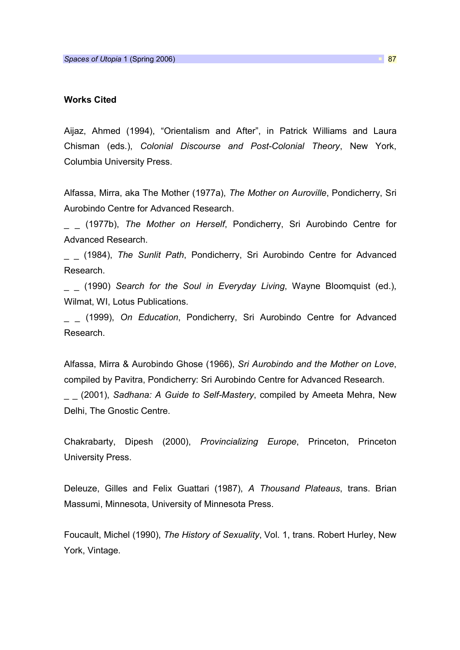## Works Cited

Aijaz, Ahmed (1994), "Orientalism and After", in Patrick Williams and Laura Chisman (eds.), Colonial Discourse and Post-Colonial Theory, New York, Columbia University Press.

Alfassa, Mirra, aka The Mother (1977a), The Mother on Auroville, Pondicherry, Sri Aurobindo Centre for Advanced Research.

(1977b), The Mother on Herself, Pondicherry, Sri Aurobindo Centre for Advanced Research.

\_ \_ (1984), The Sunlit Path, Pondicherry, Sri Aurobindo Centre for Advanced Research.

\_ \_ (1990) Search for the Soul in Everyday Living, Wayne Bloomquist (ed.), Wilmat, WI, Lotus Publications.

\_ \_ (1999), On Education, Pondicherry, Sri Aurobindo Centre for Advanced Research.

Alfassa, Mirra & Aurobindo Ghose (1966), Sri Aurobindo and the Mother on Love, compiled by Pavitra, Pondicherry: Sri Aurobindo Centre for Advanced Research. (2001), Sadhana: A Guide to Self-Mastery, compiled by Ameeta Mehra, New Delhi, The Gnostic Centre.

Chakrabarty, Dipesh (2000), Provincializing Europe, Princeton, Princeton University Press.

Deleuze, Gilles and Felix Guattari (1987), A Thousand Plateaus, trans. Brian Massumi, Minnesota, University of Minnesota Press.

Foucault, Michel (1990), The History of Sexuality, Vol. 1, trans. Robert Hurley, New York, Vintage.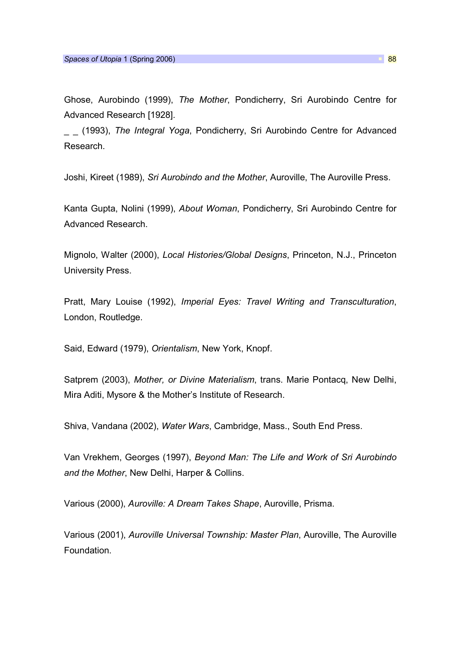Ghose, Aurobindo (1999), The Mother, Pondicherry, Sri Aurobindo Centre for Advanced Research [1928].

(1993), The Integral Yoga, Pondicherry, Sri Aurobindo Centre for Advanced Research.

Joshi, Kireet (1989), Sri Aurobindo and the Mother, Auroville, The Auroville Press.

Kanta Gupta, Nolini (1999), About Woman, Pondicherry, Sri Aurobindo Centre for Advanced Research.

Mignolo, Walter (2000), Local Histories/Global Designs, Princeton, N.J., Princeton University Press.

Pratt, Mary Louise (1992), Imperial Eyes: Travel Writing and Transculturation, London, Routledge.

Said, Edward (1979), Orientalism, New York, Knopf.

Satprem (2003), Mother, or Divine Materialism, trans. Marie Pontacq, New Delhi, Mira Aditi, Mysore & the Mother's Institute of Research.

Shiva, Vandana (2002), Water Wars, Cambridge, Mass., South End Press.

Van Vrekhem, Georges (1997), Beyond Man: The Life and Work of Sri Aurobindo and the Mother, New Delhi, Harper & Collins.

Various (2000), Auroville: A Dream Takes Shape, Auroville, Prisma.

Various (2001), Auroville Universal Township: Master Plan, Auroville, The Auroville Foundation.